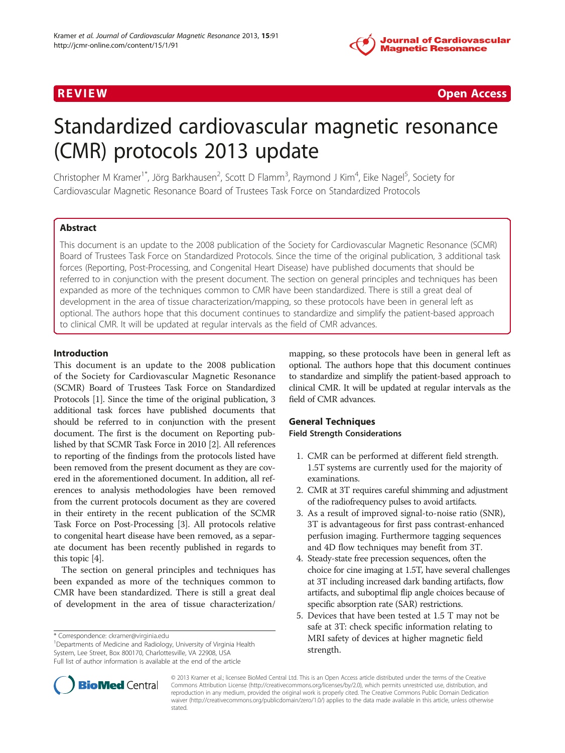

R EVI EW Open Access

# Standardized cardiovascular magnetic resonance (CMR) protocols 2013 update

Christopher M Kramer<sup>1\*</sup>, Jörg Barkhausen<sup>2</sup>, Scott D Flamm<sup>3</sup>, Raymond J Kim<sup>4</sup>, Eike Nagel<sup>5</sup>, Society for Cardiovascular Magnetic Resonance Board of Trustees Task Force on Standardized Protocols

# Abstract

This document is an update to the 2008 publication of the Society for Cardiovascular Magnetic Resonance (SCMR) Board of Trustees Task Force on Standardized Protocols. Since the time of the original publication, 3 additional task forces (Reporting, Post-Processing, and Congenital Heart Disease) have published documents that should be referred to in conjunction with the present document. The section on general principles and techniques has been expanded as more of the techniques common to CMR have been standardized. There is still a great deal of development in the area of tissue characterization/mapping, so these protocols have been in general left as optional. The authors hope that this document continues to standardize and simplify the patient-based approach to clinical CMR. It will be updated at regular intervals as the field of CMR advances.

#### Introduction

This document is an update to the 2008 publication of the Society for Cardiovascular Magnetic Resonance (SCMR) Board of Trustees Task Force on Standardized Protocols [[1](#page-9-0)]. Since the time of the original publication, 3 additional task forces have published documents that should be referred to in conjunction with the present document. The first is the document on Reporting published by that SCMR Task Force in 2010 [\[2\]](#page-9-0). All references to reporting of the findings from the protocols listed have been removed from the present document as they are covered in the aforementioned document. In addition, all references to analysis methodologies have been removed from the current protocols document as they are covered in their entirety in the recent publication of the SCMR Task Force on Post-Processing [\[3\]](#page-9-0). All protocols relative to congenital heart disease have been removed, as a separate document has been recently published in regards to this topic [\[4](#page-9-0)].

The section on general principles and techniques has been expanded as more of the techniques common to CMR have been standardized. There is still a great deal of development in the area of tissue characterization/

<sup>1</sup>Departments of Medicine and Radiology, University of Virginia Health System, Lee Street, Box 800170, Charlottesville, VA 22908, USA Full list of author information is available at the end of the article

mapping, so these protocols have been in general left as optional. The authors hope that this document continues to standardize and simplify the patient-based approach to clinical CMR. It will be updated at regular intervals as the field of CMR advances.

#### General Techniques Field Strength Considerations

- 1. CMR can be performed at different field strength. 1.5T systems are currently used for the majority of examinations.
- 2. CMR at 3T requires careful shimming and adjustment of the radiofrequency pulses to avoid artifacts.
- 3. As a result of improved signal-to-noise ratio (SNR), 3T is advantageous for first pass contrast-enhanced perfusion imaging. Furthermore tagging sequences and 4D flow techniques may benefit from 3T.
- 4. Steady-state free precession sequences, often the choice for cine imaging at 1.5T, have several challenges at 3T including increased dark banding artifacts, flow artifacts, and suboptimal flip angle choices because of specific absorption rate (SAR) restrictions.
- 5. Devices that have been tested at 1.5 T may not be safe at 3T: check specific information relating to MRI safety of devices at higher magnetic field strength.



© 2013 Kramer et al.; licensee BioMed Central Ltd. This is an Open Access article distributed under the terms of the Creative Commons Attribution License [\(http://creativecommons.org/licenses/by/2.0\)](http://creativecommons.org/licenses/by/2.0), which permits unrestricted use, distribution, and reproduction in any medium, provided the original work is properly cited. The Creative Commons Public Domain Dedication waiver [\(http://creativecommons.org/publicdomain/zero/1.0/\)](http://creativecommons.org/publicdomain/zero/1.0/) applies to the data made available in this article, unless otherwise stated.

<sup>\*</sup> Correspondence: [ckramer@virginia.edu](mailto:ckramer@virginia.edu) <sup>1</sup>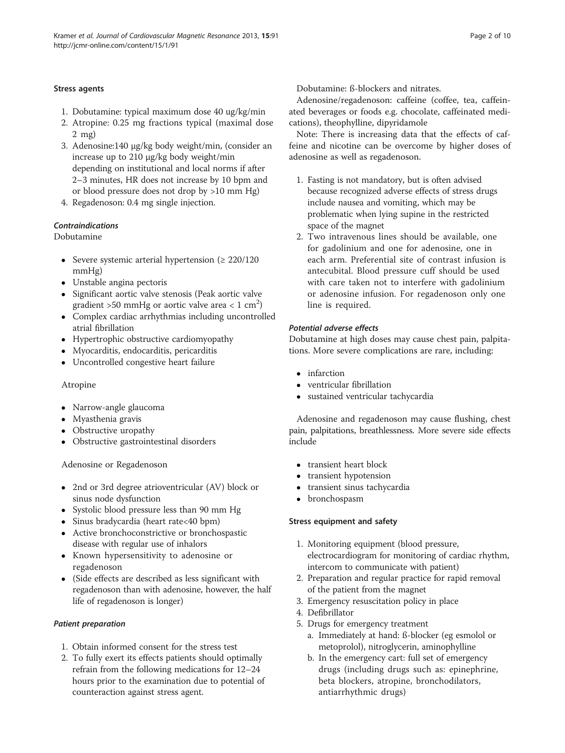#### Stress agents

- 1. Dobutamine: typical maximum dose 40 ug/kg/min
- 2. Atropine: 0.25 mg fractions typical (maximal dose 2 mg)
- 3. Adenosine:140 μg/kg body weight/min, (consider an increase up to 210 μg/kg body weight/min depending on institutional and local norms if after 2–3 minutes, HR does not increase by 10 bpm and or blood pressure does not drop by >10 mm Hg)
- 4. Regadenoson: 0.4 mg single injection.

# Contraindications

Dobutamine

- Severe systemic arterial hypertension ( $\geq 220/120$ mmHg)
- Unstable angina pectoris
- Significant aortic valve stenosis (Peak aortic valve gradient >50 mmHg or aortic valve area <  $1\,$  cm $^2)$
- Complex cardiac arrhythmias including uncontrolled atrial fibrillation
- Hypertrophic obstructive cardiomyopathy
- Myocarditis, endocarditis, pericarditis
- Uncontrolled congestive heart failure

# Atropine

- Narrow-angle glaucoma
- Myasthenia gravis
- Obstructive uropathy
- Obstructive gastrointestinal disorders

Adenosine or Regadenoson

- 2nd or 3rd degree atrioventricular (AV) block or sinus node dysfunction
- Systolic blood pressure less than 90 mm Hg
- Sinus bradycardia (heart rate<40 bpm)
- Active bronchoconstrictive or bronchospastic disease with regular use of inhalors
- Known hypersensitivity to adenosine or regadenoson
- (Side effects are described as less significant with regadenoson than with adenosine, however, the half life of regadenoson is longer)

# Patient preparation

- 1. Obtain informed consent for the stress test
- 2. To fully exert its effects patients should optimally refrain from the following medications for 12–24 hours prior to the examination due to potential of counteraction against stress agent.

Dobutamine: ß-blockers and nitrates.

Adenosine/regadenoson: caffeine (coffee, tea, caffeinated beverages or foods e.g. chocolate, caffeinated medications), theophylline, dipyridamole

Note: There is increasing data that the effects of caffeine and nicotine can be overcome by higher doses of adenosine as well as regadenoson.

- 1. Fasting is not mandatory, but is often advised because recognized adverse effects of stress drugs include nausea and vomiting, which may be problematic when lying supine in the restricted space of the magnet
- 2. Two intravenous lines should be available, one for gadolinium and one for adenosine, one in each arm. Preferential site of contrast infusion is antecubital. Blood pressure cuff should be used with care taken not to interfere with gadolinium or adenosine infusion. For regadenoson only one line is required.

# Potential adverse effects

Dobutamine at high doses may cause chest pain, palpitations. More severe complications are rare, including:

- infarction
- ventricular fibrillation
- sustained ventricular tachycardia

Adenosine and regadenoson may cause flushing, chest pain, palpitations, breathlessness. More severe side effects include

- transient heart block
- transient hypotension<br>• transient sinus tachyc
- transient sinus tachycardia
- bronchospasm

# Stress equipment and safety

- 1. Monitoring equipment (blood pressure, electrocardiogram for monitoring of cardiac rhythm, intercom to communicate with patient)
- 2. Preparation and regular practice for rapid removal of the patient from the magnet
- 3. Emergency resuscitation policy in place
- 4. Defibrillator
- 5. Drugs for emergency treatment
	- a. Immediately at hand: ß-blocker (eg esmolol or metoprolol), nitroglycerin, aminophylline
	- b. In the emergency cart: full set of emergency drugs (including drugs such as: epinephrine, beta blockers, atropine, bronchodilators, antiarrhythmic drugs)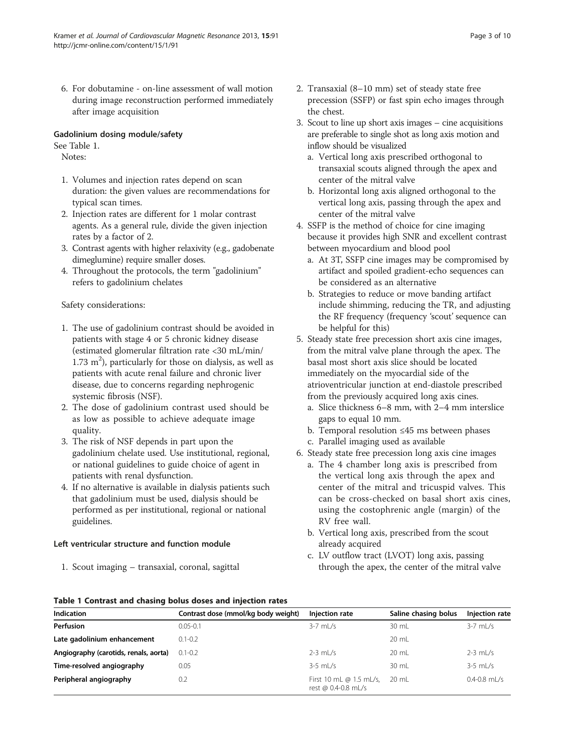<span id="page-2-0"></span>6. For dobutamine - on-line assessment of wall motion during image reconstruction performed immediately after image acquisition

#### Gadolinium dosing module/safety

See Table 1.

Notes:

- 1. Volumes and injection rates depend on scan duration: the given values are recommendations for typical scan times.
- 2. Injection rates are different for 1 molar contrast agents. As a general rule, divide the given injection rates by a factor of 2.
- 3. Contrast agents with higher relaxivity (e.g., gadobenate dimeglumine) require smaller doses.
- 4. Throughout the protocols, the term "gadolinium" refers to gadolinium chelates

#### Safety considerations:

- 1. The use of gadolinium contrast should be avoided in patients with stage 4 or 5 chronic kidney disease (estimated glomerular filtration rate <30 mL/min/ 1.73  $m<sup>2</sup>$ ), particularly for those on dialysis, as well as patients with acute renal failure and chronic liver disease, due to concerns regarding nephrogenic systemic fibrosis (NSF).
- 2. The dose of gadolinium contrast used should be as low as possible to achieve adequate image quality.
- 3. The risk of NSF depends in part upon the gadolinium chelate used. Use institutional, regional, or national guidelines to guide choice of agent in patients with renal dysfunction.
- 4. If no alternative is available in dialysis patients such that gadolinium must be used, dialysis should be performed as per institutional, regional or national guidelines.

#### Left ventricular structure and function module

1. Scout imaging – transaxial, coronal, sagittal

- 2. Transaxial (8–10 mm) set of steady state free precession (SSFP) or fast spin echo images through the chest.
- 3. Scout to line up short axis images cine acquisitions are preferable to single shot as long axis motion and inflow should be visualized
	- a. Vertical long axis prescribed orthogonal to transaxial scouts aligned through the apex and center of the mitral valve
	- b. Horizontal long axis aligned orthogonal to the vertical long axis, passing through the apex and center of the mitral valve
- 4. SSFP is the method of choice for cine imaging because it provides high SNR and excellent contrast between myocardium and blood pool
	- a. At 3T, SSFP cine images may be compromised by artifact and spoiled gradient-echo sequences can be considered as an alternative
	- b. Strategies to reduce or move banding artifact include shimming, reducing the TR, and adjusting the RF frequency (frequency 'scout' sequence can be helpful for this)
- 5. Steady state free precession short axis cine images, from the mitral valve plane through the apex. The basal most short axis slice should be located immediately on the myocardial side of the atrioventricular junction at end-diastole prescribed from the previously acquired long axis cines.
	- a. Slice thickness 6–8 mm, with 2–4 mm interslice gaps to equal 10 mm.
	- b. Temporal resolution ≤45 ms between phases
	- c. Parallel imaging used as available
- 6. Steady state free precession long axis cine images
	- a. The 4 chamber long axis is prescribed from the vertical long axis through the apex and center of the mitral and tricuspid valves. This can be cross-checked on basal short axis cines, using the costophrenic angle (margin) of the RV free wall.
	- b. Vertical long axis, prescribed from the scout already acquired
	- c. LV outflow tract (LVOT) long axis, passing through the apex, the center of the mitral valve

#### Table 1 Contrast and chasing bolus doses and injection rates

| Indication                            | Contrast dose (mmol/kg body weight) | Injection rate                                        | Saline chasing bolus | Injection rate   |
|---------------------------------------|-------------------------------------|-------------------------------------------------------|----------------------|------------------|
| Perfusion                             | $0.05 - 0.1$                        | $3-7$ ml /s                                           | $30 \mathrm{m}$      | $3-7$ ml/s       |
| Late gadolinium enhancement           | $0.1 - 0.2$                         |                                                       | 20 mL                |                  |
| Angiography (carotids, renals, aorta) | $0.1 - 0.2$                         | $2-3$ ml /s                                           | $20 \text{ ml}$      | $2-3$ mL/s       |
| Time-resolved angiography             | 0.05                                | $3-5$ mL/s                                            | 30 mL                | $3-5$ mL/s       |
| Peripheral angiography                | 0.2                                 | First 10 mL $\omega$ 1.5 mL/s,<br>rest @ 0.4-0.8 mL/s | $20 \text{ ml}$      | $0.4 - 0.8$ mL/s |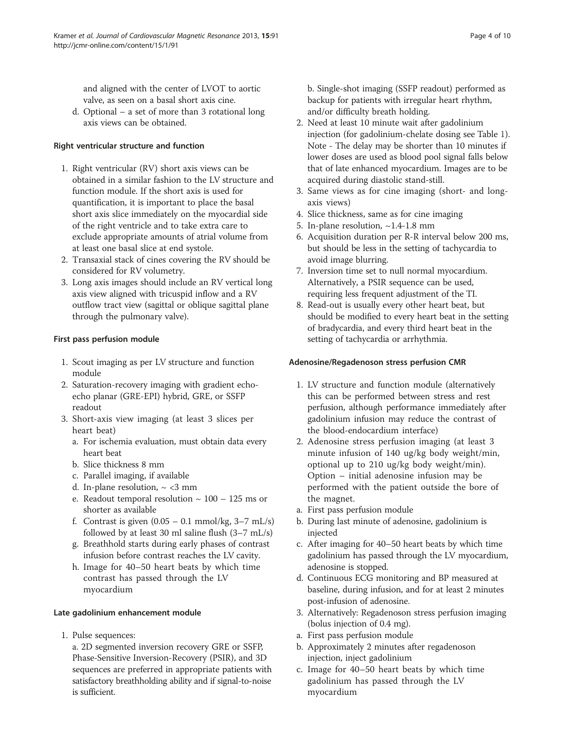and aligned with the center of LVOT to aortic valve, as seen on a basal short axis cine.

d. Optional – a set of more than 3 rotational long axis views can be obtained.

#### Right ventricular structure and function

- 1. Right ventricular (RV) short axis views can be obtained in a similar fashion to the LV structure and function module. If the short axis is used for quantification, it is important to place the basal short axis slice immediately on the myocardial side of the right ventricle and to take extra care to exclude appropriate amounts of atrial volume from at least one basal slice at end systole.
- 2. Transaxial stack of cines covering the RV should be considered for RV volumetry.
- 3. Long axis images should include an RV vertical long axis view aligned with tricuspid inflow and a RV outflow tract view (sagittal or oblique sagittal plane through the pulmonary valve).

# First pass perfusion module

- 1. Scout imaging as per LV structure and function module
- 2. Saturation-recovery imaging with gradient echoecho planar (GRE-EPI) hybrid, GRE, or SSFP readout
- 3. Short-axis view imaging (at least 3 slices per heart beat)
	- a. For ischemia evaluation, must obtain data every heart beat
	- b. Slice thickness 8 mm
	- c. Parallel imaging, if available
	- d. In-plane resolution,  $\sim$  <3 mm
	- e. Readout temporal resolution  $\sim 100 125$  ms or shorter as available
	- f. Contrast is given  $(0.05 0.1 \text{ mmol/kg}, 3-7 \text{ mL/s})$ followed by at least 30 ml saline flush (3–7 mL/s)
	- g. Breathhold starts during early phases of contrast infusion before contrast reaches the LV cavity.
	- h. Image for 40–50 heart beats by which time contrast has passed through the LV myocardium

#### Late gadolinium enhancement module

1. Pulse sequences:

a. 2D segmented inversion recovery GRE or SSFP, Phase-Sensitive Inversion-Recovery (PSIR), and 3D sequences are preferred in appropriate patients with satisfactory breathholding ability and if signal-to-noise is sufficient.

b. Single-shot imaging (SSFP readout) performed as backup for patients with irregular heart rhythm, and/or difficulty breath holding.

- 2. Need at least 10 minute wait after gadolinium injection (for gadolinium-chelate dosing see Table [1\)](#page-2-0). Note - The delay may be shorter than 10 minutes if lower doses are used as blood pool signal falls below that of late enhanced myocardium. Images are to be acquired during diastolic stand-still.
- 3. Same views as for cine imaging (short- and longaxis views)
- 4. Slice thickness, same as for cine imaging
- 5. In-plane resolution, ~1.4-1.8 mm
- 6. Acquisition duration per R-R interval below 200 ms, but should be less in the setting of tachycardia to avoid image blurring.
- 7. Inversion time set to null normal myocardium. Alternatively, a PSIR sequence can be used, requiring less frequent adjustment of the TI.
- 8. Read-out is usually every other heart beat, but should be modified to every heart beat in the setting of bradycardia, and every third heart beat in the setting of tachycardia or arrhythmia.

#### Adenosine/Regadenoson stress perfusion CMR

- 1. LV structure and function module (alternatively this can be performed between stress and rest perfusion, although performance immediately after gadolinium infusion may reduce the contrast of the blood-endocardium interface)
- 2. Adenosine stress perfusion imaging (at least 3 minute infusion of 140 ug/kg body weight/min, optional up to 210 ug/kg body weight/min). Option – initial adenosine infusion may be performed with the patient outside the bore of the magnet.
- a. First pass perfusion module
- b. During last minute of adenosine, gadolinium is injected
- c. After imaging for 40–50 heart beats by which time gadolinium has passed through the LV myocardium, adenosine is stopped.
- d. Continuous ECG monitoring and BP measured at baseline, during infusion, and for at least 2 minutes post-infusion of adenosine.
- 3. Alternatively: Regadenoson stress perfusion imaging (bolus injection of 0.4 mg).
- a. First pass perfusion module
- b. Approximately 2 minutes after regadenoson injection, inject gadolinium
- c. Image for 40–50 heart beats by which time gadolinium has passed through the LV myocardium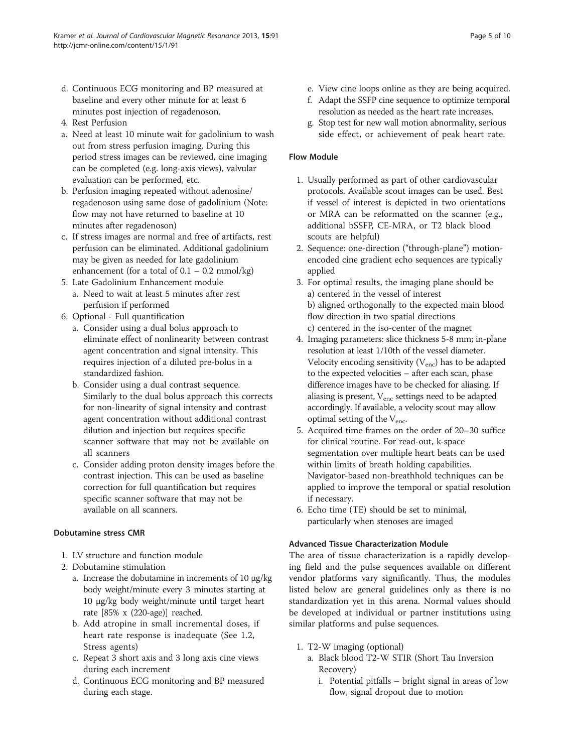- d. Continuous ECG monitoring and BP measured at baseline and every other minute for at least 6 minutes post injection of regadenoson.
- 4. Rest Perfusion
- a. Need at least 10 minute wait for gadolinium to wash out from stress perfusion imaging. During this period stress images can be reviewed, cine imaging can be completed (e.g. long-axis views), valvular evaluation can be performed, etc.
- b. Perfusion imaging repeated without adenosine/ regadenoson using same dose of gadolinium (Note: flow may not have returned to baseline at 10 minutes after regadenoson)
- c. If stress images are normal and free of artifacts, rest perfusion can be eliminated. Additional gadolinium may be given as needed for late gadolinium enhancement (for a total of  $0.1 - 0.2$  mmol/kg)
- 5. Late Gadolinium Enhancement module
- a. Need to wait at least 5 minutes after rest perfusion if performed
- 6. Optional Full quantification
	- a. Consider using a dual bolus approach to eliminate effect of nonlinearity between contrast agent concentration and signal intensity. This requires injection of a diluted pre-bolus in a standardized fashion.
	- b. Consider using a dual contrast sequence. Similarly to the dual bolus approach this corrects for non-linearity of signal intensity and contrast agent concentration without additional contrast dilution and injection but requires specific scanner software that may not be available on all scanners
	- c. Consider adding proton density images before the contrast injection. This can be used as baseline correction for full quantification but requires specific scanner software that may not be available on all scanners.

# Dobutamine stress CMR

- 1. LV structure and function module
- 2. Dobutamine stimulation
	- a. Increase the dobutamine in increments of 10 μg/kg body weight/minute every 3 minutes starting at 10 μg/kg body weight/minute until target heart rate [85% x (220-age)] reached.
	- b. Add atropine in small incremental doses, if heart rate response is inadequate (See 1.2, Stress agents)
	- c. Repeat 3 short axis and 3 long axis cine views during each increment
	- d. Continuous ECG monitoring and BP measured during each stage.
- e. View cine loops online as they are being acquired.
- f. Adapt the SSFP cine sequence to optimize temporal resolution as needed as the heart rate increases.
- g. Stop test for new wall motion abnormality, serious side effect, or achievement of peak heart rate.

#### Flow Module

- 1. Usually performed as part of other cardiovascular protocols. Available scout images can be used. Best if vessel of interest is depicted in two orientations or MRA can be reformatted on the scanner (e.g., additional bSSFP, CE-MRA, or T2 black blood scouts are helpful)
- 2. Sequence: one-direction ("through-plane") motionencoded cine gradient echo sequences are typically applied
- 3. For optimal results, the imaging plane should be a) centered in the vessel of interest b) aligned orthogonally to the expected main blood flow direction in two spatial directions c) centered in the iso-center of the magnet
- 4. Imaging parameters: slice thickness 5-8 mm; in-plane resolution at least 1/10th of the vessel diameter. Velocity encoding sensitivity  $(V_{enc})$  has to be adapted to the expected velocities – after each scan, phase difference images have to be checked for aliasing. If aliasing is present,  $V_{enc}$  settings need to be adapted accordingly. If available, a velocity scout may allow optimal setting of the  $V_{\text{enc}}$ .
- 5. Acquired time frames on the order of 20–30 suffice for clinical routine. For read-out, k-space segmentation over multiple heart beats can be used within limits of breath holding capabilities. Navigator-based non-breathhold techniques can be applied to improve the temporal or spatial resolution if necessary.
- 6. Echo time (TE) should be set to minimal, particularly when stenoses are imaged

#### Advanced Tissue Characterization Module

The area of tissue characterization is a rapidly developing field and the pulse sequences available on different vendor platforms vary significantly. Thus, the modules listed below are general guidelines only as there is no standardization yet in this arena. Normal values should be developed at individual or partner institutions using similar platforms and pulse sequences.

- 1. T2-W imaging (optional)
	- a. Black blood T2-W STIR (Short Tau Inversion Recovery)
		- i. Potential pitfalls bright signal in areas of low flow, signal dropout due to motion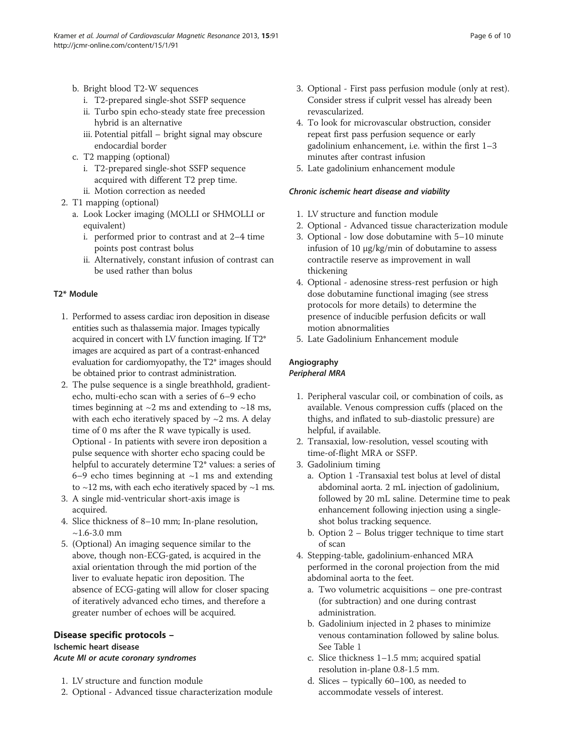- b. Bright blood T2-W sequences
	- i. T2-prepared single-shot SSFP sequence
	- ii. Turbo spin echo-steady state free precession hybrid is an alternative
	- iii. Potential pitfall bright signal may obscure endocardial border
- c. T2 mapping (optional)
	- i. T2-prepared single-shot SSFP sequence acquired with different T2 prep time. ii. Motion correction as needed
- 2. T1 mapping (optional)
	- a. Look Locker imaging (MOLLI or SHMOLLI or equivalent)
		- i. performed prior to contrast and at 2–4 time points post contrast bolus
		- ii. Alternatively, constant infusion of contrast can be used rather than bolus

#### T2\* Module

- 1. Performed to assess cardiac iron deposition in disease entities such as thalassemia major. Images typically acquired in concert with LV function imaging. If T2\* images are acquired as part of a contrast-enhanced evaluation for cardiomyopathy, the T2\* images should be obtained prior to contrast administration.
- 2. The pulse sequence is a single breathhold, gradientecho, multi-echo scan with a series of 6–9 echo times beginning at  $\sim$ 2 ms and extending to  $\sim$ 18 ms, with each echo iteratively spaced by  $\sim$ 2 ms. A delay time of 0 ms after the R wave typically is used. Optional - In patients with severe iron deposition a pulse sequence with shorter echo spacing could be helpful to accurately determine T2\* values: a series of 6–9 echo times beginning at  $\sim$ 1 ms and extending to  $\sim$ 12 ms, with each echo iteratively spaced by  $\sim$ 1 ms.
- 3. A single mid-ventricular short-axis image is acquired.
- 4. Slice thickness of 8–10 mm; In-plane resolution,  $~1.6 - 3.0$  mm
- 5. (Optional) An imaging sequence similar to the above, though non-ECG-gated, is acquired in the axial orientation through the mid portion of the liver to evaluate hepatic iron deposition. The absence of ECG-gating will allow for closer spacing of iteratively advanced echo times, and therefore a greater number of echoes will be acquired.

#### Disease specific protocols – Ischemic heart disease Acute MI or acute coronary syndromes

- 1. LV structure and function module
- 2. Optional Advanced tissue characterization module
- 3. Optional First pass perfusion module (only at rest). Consider stress if culprit vessel has already been revascularized.
- 4. To look for microvascular obstruction, consider repeat first pass perfusion sequence or early gadolinium enhancement, i.e. within the first 1–3 minutes after contrast infusion
- 5. Late gadolinium enhancement module

#### Chronic ischemic heart disease and viability

- 1. LV structure and function module
- 2. Optional Advanced tissue characterization module
- 3. Optional low dose dobutamine with 5–10 minute infusion of 10 μg/kg/min of dobutamine to assess contractile reserve as improvement in wall thickening
- 4. Optional adenosine stress-rest perfusion or high dose dobutamine functional imaging (see stress protocols for more details) to determine the presence of inducible perfusion deficits or wall motion abnormalities
- 5. Late Gadolinium Enhancement module

#### Angiography Peripheral MRA

- 1. Peripheral vascular coil, or combination of coils, as available. Venous compression cuffs (placed on the thighs, and inflated to sub-diastolic pressure) are helpful, if available.
- 2. Transaxial, low-resolution, vessel scouting with time-of-flight MRA or SSFP.
- 3. Gadolinium timing
	- a. Option 1 -Transaxial test bolus at level of distal abdominal aorta. 2 mL injection of gadolinium, followed by 20 mL saline. Determine time to peak enhancement following injection using a singleshot bolus tracking sequence.
	- b. Option 2 Bolus trigger technique to time start of scan
- 4. Stepping-table, gadolinium-enhanced MRA performed in the coronal projection from the mid abdominal aorta to the feet.
	- a. Two volumetric acquisitions one pre-contrast (for subtraction) and one during contrast administration.
	- b. Gadolinium injected in 2 phases to minimize venous contamination followed by saline bolus. See Table [1](#page-2-0)
	- c. Slice thickness 1–1.5 mm; acquired spatial resolution in-plane 0.8-1.5 mm.
	- d. Slices typically 60–100, as needed to accommodate vessels of interest.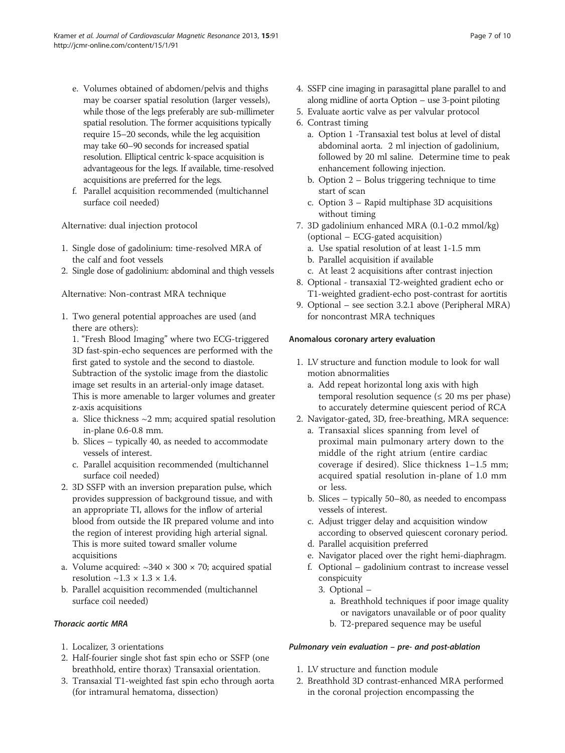- e. Volumes obtained of abdomen/pelvis and thighs may be coarser spatial resolution (larger vessels), while those of the legs preferably are sub-millimeter spatial resolution. The former acquisitions typically require 15–20 seconds, while the leg acquisition may take 60–90 seconds for increased spatial resolution. Elliptical centric k-space acquisition is advantageous for the legs. If available, time-resolved acquisitions are preferred for the legs.
- f. Parallel acquisition recommended (multichannel surface coil needed)

Alternative: dual injection protocol

- 1. Single dose of gadolinium: time-resolved MRA of the calf and foot vessels
- 2. Single dose of gadolinium: abdominal and thigh vessels

Alternative: Non-contrast MRA technique

1. Two general potential approaches are used (and there are others):

1. "Fresh Blood Imaging" where two ECG-triggered 3D fast-spin-echo sequences are performed with the first gated to systole and the second to diastole. Subtraction of the systolic image from the diastolic image set results in an arterial-only image dataset. This is more amenable to larger volumes and greater z-axis acquisitions

- a. Slice thickness  $\sim$ 2 mm; acquired spatial resolution in-plane 0.6-0.8 mm.
- b. Slices typically 40, as needed to accommodate vessels of interest.
- c. Parallel acquisition recommended (multichannel surface coil needed)
- 2. 3D SSFP with an inversion preparation pulse, which provides suppression of background tissue, and with an appropriate TI, allows for the inflow of arterial blood from outside the IR prepared volume and into the region of interest providing high arterial signal. This is more suited toward smaller volume acquisitions
- a. Volume acquired:  $\sim$ 340  $\times$  300  $\times$  70; acquired spatial resolution  $\sim$ 1.3  $\times$  1.3  $\times$  1.4.
- b. Parallel acquisition recommended (multichannel surface coil needed)

# Thoracic aortic MRA

- 1. Localizer, 3 orientations
- 2. Half-fourier single shot fast spin echo or SSFP (one breathhold, entire thorax) Transaxial orientation.
- 3. Transaxial T1-weighted fast spin echo through aorta (for intramural hematoma, dissection)
- 4. SSFP cine imaging in parasagittal plane parallel to and along midline of aorta Option – use 3-point piloting
- 5. Evaluate aortic valve as per valvular protocol
- 6. Contrast timing
	- a. Option 1 -Transaxial test bolus at level of distal abdominal aorta. 2 ml injection of gadolinium, followed by 20 ml saline. Determine time to peak enhancement following injection.
	- b. Option 2 Bolus triggering technique to time start of scan
	- c. Option 3 Rapid multiphase 3D acquisitions without timing
- 7. 3D gadolinium enhanced MRA (0.1-0.2 mmol/kg) (optional – ECG-gated acquisition)
	- a. Use spatial resolution of at least 1-1.5 mm
	- b. Parallel acquisition if available
	- c. At least 2 acquisitions after contrast injection
- 8. Optional transaxial T2-weighted gradient echo or T1-weighted gradient-echo post-contrast for aortitis
- 9. Optional see section 3.2.1 above (Peripheral MRA) for noncontrast MRA techniques

#### Anomalous coronary artery evaluation

- 1. LV structure and function module to look for wall motion abnormalities
	- a. Add repeat horizontal long axis with high temporal resolution sequence ( $\leq$  20 ms per phase) to accurately determine quiescent period of RCA
- 2. Navigator-gated, 3D, free-breathing, MRA sequence:
	- a. Transaxial slices spanning from level of proximal main pulmonary artery down to the middle of the right atrium (entire cardiac coverage if desired). Slice thickness 1–1.5 mm; acquired spatial resolution in-plane of 1.0 mm or less.
	- b. Slices typically 50–80, as needed to encompass vessels of interest.
	- c. Adjust trigger delay and acquisition window according to observed quiescent coronary period.
	- d. Parallel acquisition preferred
	- e. Navigator placed over the right hemi-diaphragm.
	- f. Optional gadolinium contrast to increase vessel conspicuity
		- 3. Optional
			- a. Breathhold techniques if poor image quality or navigators unavailable or of poor quality
			- b. T2-prepared sequence may be useful

#### Pulmonary vein evaluation – pre- and post-ablation

- 1. LV structure and function module
- 2. Breathhold 3D contrast-enhanced MRA performed in the coronal projection encompassing the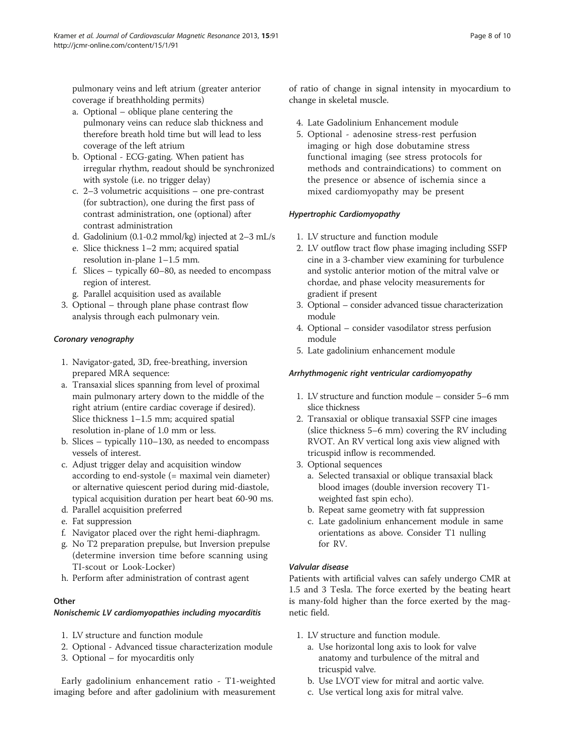pulmonary veins and left atrium (greater anterior coverage if breathholding permits)

- a. Optional oblique plane centering the pulmonary veins can reduce slab thickness and therefore breath hold time but will lead to less coverage of the left atrium
- b. Optional ECG-gating. When patient has irregular rhythm, readout should be synchronized with systole (i.e. no trigger delay)
- c. 2–3 volumetric acquisitions one pre-contrast (for subtraction), one during the first pass of contrast administration, one (optional) after contrast administration
- d. Gadolinium (0.1-0.2 mmol/kg) injected at 2–3 mL/s
- e. Slice thickness 1–2 mm; acquired spatial resolution in-plane 1–1.5 mm.
- f. Slices typically 60–80, as needed to encompass region of interest.
- g. Parallel acquisition used as available
- 3. Optional through plane phase contrast flow analysis through each pulmonary vein.

# Coronary venography

- 1. Navigator-gated, 3D, free-breathing, inversion prepared MRA sequence:
- a. Transaxial slices spanning from level of proximal main pulmonary artery down to the middle of the right atrium (entire cardiac coverage if desired). Slice thickness 1–1.5 mm; acquired spatial resolution in-plane of 1.0 mm or less.
- b. Slices typically 110–130, as needed to encompass vessels of interest.
- c. Adjust trigger delay and acquisition window according to end-systole (= maximal vein diameter) or alternative quiescent period during mid-diastole, typical acquisition duration per heart beat 60-90 ms.
- d. Parallel acquisition preferred
- e. Fat suppression
- f. Navigator placed over the right hemi-diaphragm.
- g. No T2 preparation prepulse, but Inversion prepulse (determine inversion time before scanning using TI-scout or Look-Locker)
- h. Perform after administration of contrast agent

#### **Other**

#### Nonischemic LV cardiomyopathies including myocarditis

- 1. LV structure and function module
- 2. Optional Advanced tissue characterization module
- 3. Optional for myocarditis only

Early gadolinium enhancement ratio - T1-weighted imaging before and after gadolinium with measurement of ratio of change in signal intensity in myocardium to change in skeletal muscle.

- 4. Late Gadolinium Enhancement module
- 5. Optional adenosine stress-rest perfusion imaging or high dose dobutamine stress functional imaging (see stress protocols for methods and contraindications) to comment on the presence or absence of ischemia since a mixed cardiomyopathy may be present

#### Hypertrophic Cardiomyopathy

- 1. LV structure and function module
- 2. LV outflow tract flow phase imaging including SSFP cine in a 3-chamber view examining for turbulence and systolic anterior motion of the mitral valve or chordae, and phase velocity measurements for gradient if present
- 3. Optional consider advanced tissue characterization module
- 4. Optional consider vasodilator stress perfusion module
- 5. Late gadolinium enhancement module

#### Arrhythmogenic right ventricular cardiomyopathy

- 1. LV structure and function module consider 5–6 mm slice thickness
- 2. Transaxial or oblique transaxial SSFP cine images (slice thickness 5–6 mm) covering the RV including RVOT. An RV vertical long axis view aligned with tricuspid inflow is recommended.
- 3. Optional sequences
	- a. Selected transaxial or oblique transaxial black blood images (double inversion recovery T1 weighted fast spin echo).
	- b. Repeat same geometry with fat suppression
	- c. Late gadolinium enhancement module in same orientations as above. Consider T1 nulling for RV.

#### Valvular disease

Patients with artificial valves can safely undergo CMR at 1.5 and 3 Tesla. The force exerted by the beating heart is many-fold higher than the force exerted by the magnetic field.

- 1. LV structure and function module.
	- a. Use horizontal long axis to look for valve anatomy and turbulence of the mitral and tricuspid valve.
	- b. Use LVOT view for mitral and aortic valve.
	- c. Use vertical long axis for mitral valve.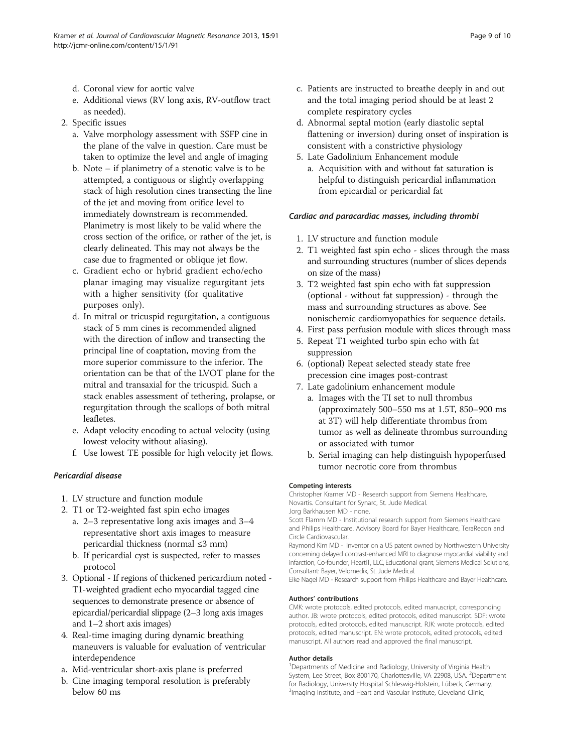- d. Coronal view for aortic valve
- e. Additional views (RV long axis, RV-outflow tract as needed).
- 2. Specific issues
	- a. Valve morphology assessment with SSFP cine in the plane of the valve in question. Care must be taken to optimize the level and angle of imaging
	- b. Note if planimetry of a stenotic valve is to be attempted, a contiguous or slightly overlapping stack of high resolution cines transecting the line of the jet and moving from orifice level to immediately downstream is recommended. Planimetry is most likely to be valid where the cross section of the orifice, or rather of the jet, is clearly delineated. This may not always be the case due to fragmented or oblique jet flow.
	- c. Gradient echo or hybrid gradient echo/echo planar imaging may visualize regurgitant jets with a higher sensitivity (for qualitative purposes only).
	- d. In mitral or tricuspid regurgitation, a contiguous stack of 5 mm cines is recommended aligned with the direction of inflow and transecting the principal line of coaptation, moving from the more superior commissure to the inferior. The orientation can be that of the LVOT plane for the mitral and transaxial for the tricuspid. Such a stack enables assessment of tethering, prolapse, or regurgitation through the scallops of both mitral leafletes.
	- e. Adapt velocity encoding to actual velocity (using lowest velocity without aliasing).
	- f. Use lowest TE possible for high velocity jet flows.

#### Pericardial disease

- 1. LV structure and function module
- 2. T1 or T2-weighted fast spin echo images
	- a. 2–3 representative long axis images and 3–4 representative short axis images to measure pericardial thickness (normal ≤3 mm)
	- b. If pericardial cyst is suspected, refer to masses protocol
- 3. Optional If regions of thickened pericardium noted T1-weighted gradient echo myocardial tagged cine sequences to demonstrate presence or absence of epicardial/pericardial slippage (2–3 long axis images and 1–2 short axis images)
- 4. Real-time imaging during dynamic breathing maneuvers is valuable for evaluation of ventricular interdependence
- a. Mid-ventricular short-axis plane is preferred
- b. Cine imaging temporal resolution is preferably below 60 ms
- c. Patients are instructed to breathe deeply in and out and the total imaging period should be at least 2 complete respiratory cycles
- d. Abnormal septal motion (early diastolic septal flattening or inversion) during onset of inspiration is consistent with a constrictive physiology
- 5. Late Gadolinium Enhancement module
	- a. Acquisition with and without fat saturation is helpful to distinguish pericardial inflammation from epicardial or pericardial fat

#### Cardiac and paracardiac masses, including thrombi

- 1. LV structure and function module
- 2. T1 weighted fast spin echo slices through the mass and surrounding structures (number of slices depends on size of the mass)
- 3. T2 weighted fast spin echo with fat suppression (optional - without fat suppression) - through the mass and surrounding structures as above. See nonischemic cardiomyopathies for sequence details.
- 4. First pass perfusion module with slices through mass
- 5. Repeat T1 weighted turbo spin echo with fat suppression
- 6. (optional) Repeat selected steady state free precession cine images post-contrast
- 7. Late gadolinium enhancement module
	- a. Images with the TI set to null thrombus (approximately 500–550 ms at 1.5T, 850–900 ms at 3T) will help differentiate thrombus from tumor as well as delineate thrombus surrounding or associated with tumor
	- b. Serial imaging can help distinguish hypoperfused tumor necrotic core from thrombus

#### Competing interests

Christopher Kramer MD - Research support from Siemens Healthcare, Novartis. Consultant for Synarc, St. Jude Medical. Jorg Barkhausen MD - none.

Scott Flamm MD - Institutional research support from Siemens Healthcare and Philips Healthcare. Advisory Board for Bayer Healthcare, TeraRecon and

Circle Cardiovascular.

Raymond Kim MD - Inventor on a US patent owned by Northwestern University concerning delayed contrast-enhanced MRI to diagnose myocardial viability and infarction, Co-founder, HeartIT, LLC, Educational grant, Siemens Medical Solutions, Consultant: Bayer, Velomedix, St. Jude Medical.

Eike Nagel MD - Research support from Philips Healthcare and Bayer Healthcare.

#### Authors' contributions

CMK: wrote protocols, edited protocols, edited manuscript, corresponding author. JB: wrote protocols, edited protocols, edited manuscript. SDF: wrote protocols, edited protocols, edited manuscript. RJK: wrote protocols, edited protocols, edited manuscript. EN: wrote protocols, edited protocols, edited manuscript. All authors read and approved the final manuscript.

#### Author details

<sup>1</sup>Departments of Medicine and Radiology, University of Virginia Health System, Lee Street, Box 800170, Charlottesville, VA 22908, USA. <sup>2</sup>Department for Radiology, University Hospital Schleswig-Holstein, Lübeck, Germany. <sup>3</sup>Imaging Institute, and Heart and Vascular Institute, Cleveland Clinic